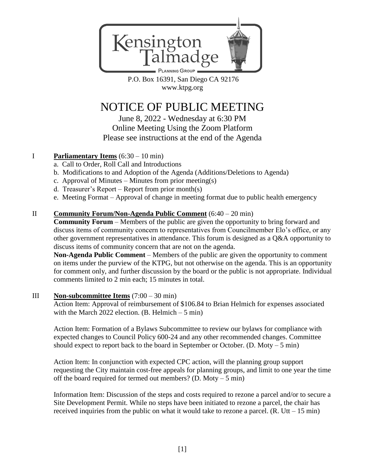

P.O. Box 16391, San Diego CA 92176 [www.ktpg.org](http://www.ktpg.org/)

# NOTICE OF PUBLIC MEETING

June 8, 2022 - Wednesday at 6:30 PM Online Meeting Using the Zoom Platform Please see instructions at the end of the Agenda

## I **Parliamentary Items** (6:30 – 10 min)

- a. Call to Order, Roll Call and Introductions
- b. Modifications to and Adoption of the Agenda (Additions/Deletions to Agenda)
- c. Approval of Minutes Minutes from prior meeting(s)
- d. Treasurer's Report Report from prior month(s)
- e. Meeting Format Approval of change in meeting format due to public health emergency

## II **Community Forum/Non-Agenda Public Comment** (6:40 – 20 min)

**Community Forum** – Members of the public are given the opportunity to bring forward and discuss items of community concern to representatives from Councilmember Elo's office, or any other government representatives in attendance. This forum is designed as a Q&A opportunity to discuss items of community concern that are not on the agenda.

**Non-Agenda Public Comment** – Members of the public are given the opportunity to comment on items under the purview of the KTPG, but not otherwise on the agenda. This is an opportunity for comment only, and further discussion by the board or the public is not appropriate. Individual comments limited to 2 min each; 15 minutes in total.

### III **Non-subcommittee Items** (7:00 – 30 min)

Action Item: Approval of reimbursement of \$106.84 to Brian Helmich for expenses associated with the March 2022 election.  $(B. \text{ Helmich} - 5 \text{ min})$ 

Action Item: Formation of a Bylaws Subcommittee to review our bylaws for compliance with expected changes to Council Policy 600-24 and any other recommended changes. Committee should expect to report back to the board in September or October. (D. Moty  $-5$  min)

Action Item: In conjunction with expected CPC action, will the planning group support requesting the City maintain cost-free appeals for planning groups, and limit to one year the time off the board required for termed out members? (D. Moty – 5 min)

Information Item: Discussion of the steps and costs required to rezone a parcel and/or to secure a Site Development Permit. While no steps have been initiated to rezone a parcel, the chair has received inquiries from the public on what it would take to rezone a parcel.  $(R. Utt - 15 min)$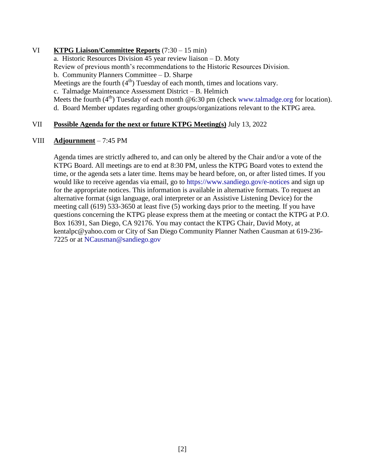#### VI **KTPG Liaison/Committee Reports** (7:30 – 15 min)

a. Historic Resources Division 45 year review liaison – D. Moty Review of previous month's recommendations to the Historic Resources Division. b. Community Planners Committee – D. Sharpe Meetings are the fourth  $(4<sup>th</sup>)$  Tuesday of each month, times and locations vary. c. Talmadge Maintenance Assessment District – B. Helmich Meets the fourth  $(4<sup>th</sup>)$  Tuesday of each month @6:30 pm (check [www.talmadge.org](http://www.talmadge.org/) for location). d. Board Member updates regarding other groups/organizations relevant to the KTPG area.

#### VII **Possible Agenda for the next or future KTPG Meeting(s)** July 13, 2022

#### VIII **Adjournment** – 7:45 PM

Agenda times are strictly adhered to, and can only be altered by the Chair and/or a vote of the KTPG Board. All meetings are to end at 8:30 PM, unless the KTPG Board votes to extend the time, or the agenda sets a later time. Items may be heard before, on, or after listed times. If you would like to receive agendas via email, go to<https://www.sandiego.gov/e-notices> and sign up for the appropriate notices. This information is available in alternative formats. To request an alternative format (sign language, oral interpreter or an Assistive Listening Device) for the meeting call (619) 533-3650 at least five (5) working days prior to the meeting. If you have questions concerning the KTPG please express them at the meeting or contact the KTPG at P.O. Box 16391, San Diego, CA 92176. You may contact the KTPG Chair, David Moty, at kentalpc@yahoo.com or City of San Diego Community Planner Nathen Causman at 619-236- 7225 or at [NCausman@sandiego.gov](file:///C:/Users/David/Documents/KTPG%20Chair%20Folder/KTPG%20Agendas/2021/NCausman@sandiego.gov)